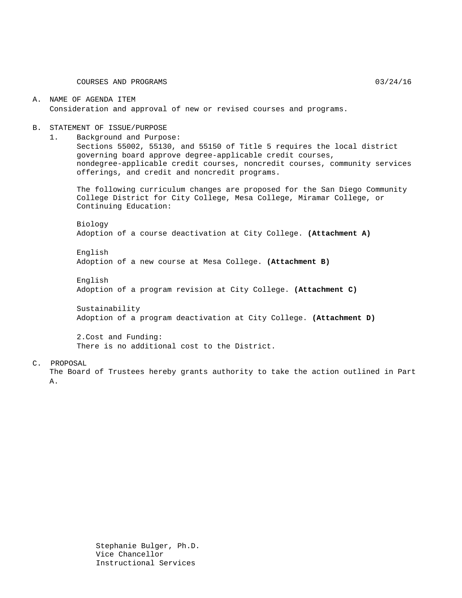COURSES AND PROGRAMS 03/24/16

#### A. NAME OF AGENDA ITEM Consideration and approval of new or revised courses and programs.

#### B. STATEMENT OF ISSUE/PURPOSE

1. Background and Purpose:

Sections 55002, 55130, and 55150 of Title 5 requires the local district governing board approve degree-applicable credit courses, nondegree-applicable credit courses, noncredit courses, community services offerings, and credit and noncredit programs.

The following curriculum changes are proposed for the San Diego Community College District for City College, Mesa College, Miramar College, or Continuing Education:

Biology Adoption of a course deactivation at City College. **(Attachment A)**

English Adoption of a new course at Mesa College. **(Attachment B)**

English Adoption of a program revision at City College. **(Attachment C)**

Sustainability Adoption of a program deactivation at City College. **(Attachment D)**

2.Cost and Funding: There is no additional cost to the District.

#### C. PROPOSAL

The Board of Trustees hereby grants authority to take the action outlined in Part A.

> Stephanie Bulger, Ph.D. Vice Chancellor Instructional Services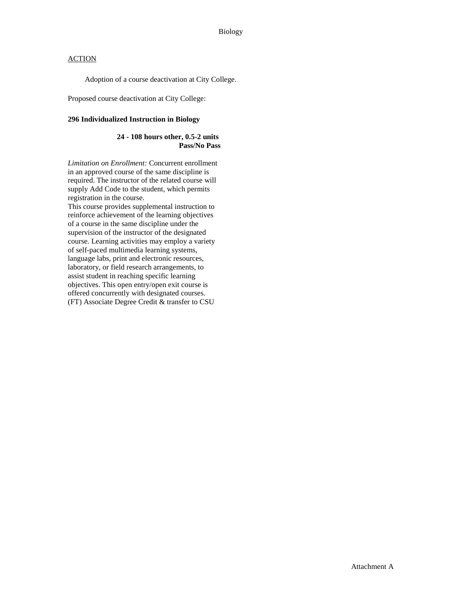Adoption of a course deactivation at City College.

Proposed course deactivation at City College:

#### **296 Individualized Instruction in Biology**

#### **24 - 108 hours other, 0.5-2 units Pass/No Pass**

*Limitation on Enrollment:* Concurrent enrollment in an approved course of the same discipline is required. The instructor of the related course will supply Add Code to the student, which permits registration in the course.

This course provides supplemental instruction to reinforce achievement of the learning objectives of a course in the same discipline under the supervision of the instructor of the designated course. Learning activities may employ a variety of self-paced multimedia learning systems, language labs, print and electronic resources, laboratory, or field research arrangements, to assist student in reaching specific learning objectives. This open entry/open exit course is offered concurrently with designated courses. (FT) Associate Degree Credit & transfer to CSU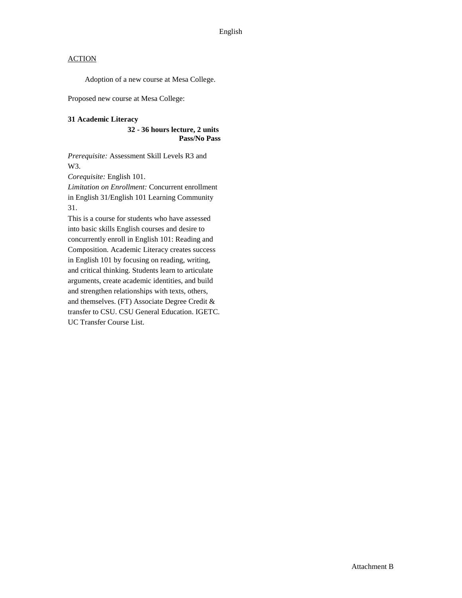Adoption of a new course at Mesa College.

Proposed new course at Mesa College:

#### **31 Academic Literacy**

**32 - 36 hours lecture, 2 units Pass/No Pass**

*Prerequisite:* Assessment Skill Levels R3 and W3.

*Corequisite:* English 101.

*Limitation on Enrollment:* Concurrent enrollment in English 31/English 101 Learning Community 31.

This is a course for students who have assessed into basic skills English courses and desire to concurrently enroll in English 101: Reading and Composition. Academic Literacy creates success in English 101 by focusing on reading, writing, and critical thinking. Students learn to articulate arguments, create academic identities, and build and strengthen relationships with texts, others, and themselves. (FT) Associate Degree Credit & transfer to CSU. CSU General Education. IGETC. UC Transfer Course List.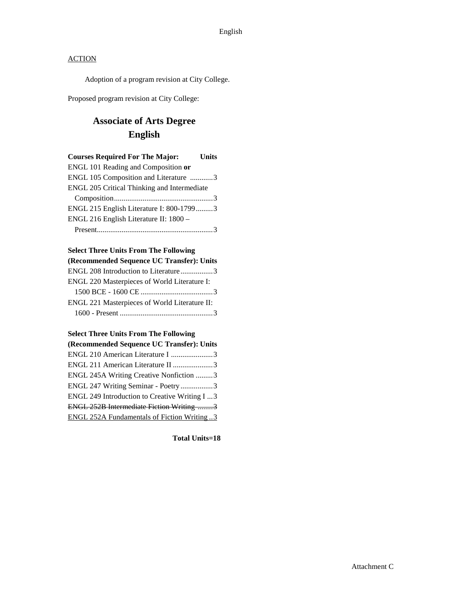Adoption of a program revision at City College.

Proposed program revision at City College:

# **Associate of Arts Degree English**

| <b>Courses Required For The Major:</b>      | <b>Units</b> |
|---------------------------------------------|--------------|
| ENGL 101 Reading and Composition or         |              |
| ENGL 105 Composition and Literature 3       |              |
| ENGL 205 Critical Thinking and Intermediate |              |
|                                             |              |
| ENGL 215 English Literature I: 800-17993    |              |
| ENGL 216 English Literature II: 1800 -      |              |
|                                             |              |

### **Select Three Units From The Following**

| (Recommended Sequence UC Transfer): Units     |  |
|-----------------------------------------------|--|
| ENGL 208 Introduction to Literature3          |  |
| ENGL 220 Masterpieces of World Literature I:  |  |
|                                               |  |
| ENGL 221 Masterpieces of World Literature II: |  |
|                                               |  |

#### **Select Three Units From The Following**

| (Recommended Sequence UC Transfer): Units          |  |
|----------------------------------------------------|--|
| ENGL 210 American Literature I 3                   |  |
| ENGL 211 American Literature II 3                  |  |
| ENGL 245A Writing Creative Nonfiction 3            |  |
| ENGL 247 Writing Seminar - Poetry 3                |  |
| ENGL 249 Introduction to Creative Writing I  3     |  |
| ENGL 252B Intermediate Fiction Writing 3           |  |
| <b>ENGL 252A Fundamentals of Fiction Writing 3</b> |  |
|                                                    |  |

**Total Units=18**